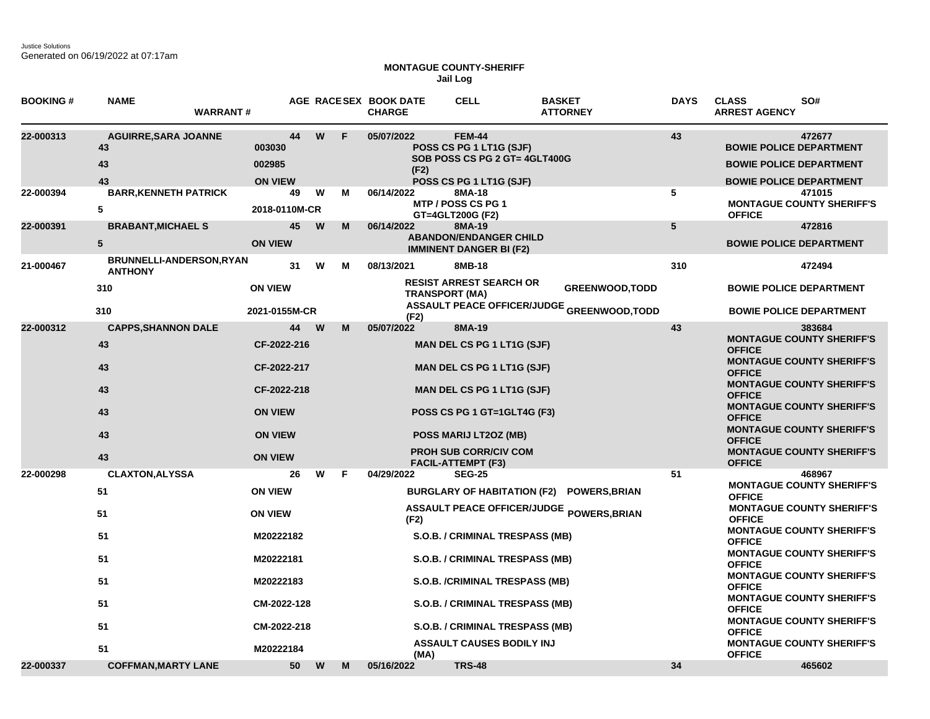## **MONTAGUE COUNTY-SHERIFF Jail Log**

| <b>BOOKING#</b> | <b>NAME</b><br><b>WARRANT#</b>                                         |                                                                                                                          |   |   | AGE RACESEX BOOK DATE<br><b>CHARGE</b> | <b>CELL</b>                                                                                                                                                                                                                                                                  | <b>BASKET</b><br><b>ATTORNEY</b>                                     | <b>DAYS</b> | <b>CLASS</b><br><b>ARREST AGENCY</b>                                                                                                 | SO#                                                                                                                                                                                                                                                                                                    |
|-----------------|------------------------------------------------------------------------|--------------------------------------------------------------------------------------------------------------------------|---|---|----------------------------------------|------------------------------------------------------------------------------------------------------------------------------------------------------------------------------------------------------------------------------------------------------------------------------|----------------------------------------------------------------------|-------------|--------------------------------------------------------------------------------------------------------------------------------------|--------------------------------------------------------------------------------------------------------------------------------------------------------------------------------------------------------------------------------------------------------------------------------------------------------|
| 22-000313       | <b>AGUIRRE, SARA JOANNE</b><br>43<br>43<br>43                          | 44<br>003030<br>002985<br><b>ON VIEW</b>                                                                                 | W | F | 05/07/2022<br>(F2)                     | <b>FEM-44</b><br>POSS CS PG 1 LT1G (SJF)<br>SOB POSS CS PG 2 GT= 4GLT400G<br>POSS CS PG 1 LT1G (SJF)                                                                                                                                                                         |                                                                      | 43          | <b>BOWIE POLICE DEPARTMENT</b><br><b>BOWIE POLICE DEPARTMENT</b><br><b>BOWIE POLICE DEPARTMENT</b>                                   | 472677                                                                                                                                                                                                                                                                                                 |
| 22-000394       | <b>BARR, KENNETH PATRICK</b><br>5                                      | 49<br>2018-0110M-CR                                                                                                      | W | м | 06/14/2022                             | 8MA-18<br>MTP / POSS CS PG 1<br>GT=4GLT200G (F2)                                                                                                                                                                                                                             |                                                                      | 5           | <b>OFFICE</b>                                                                                                                        | 471015<br><b>MONTAGUE COUNTY SHERIFF'S</b>                                                                                                                                                                                                                                                             |
| 22-000391       | <b>BRABANT, MICHAEL S</b><br>$5\phantom{.0}$                           | 45<br><b>ON VIEW</b>                                                                                                     | W | M | 06/14/2022                             | 8MA-19<br><b>ABANDON/ENDANGER CHILD</b><br><b>IMMINENT DANGER BI (F2)</b>                                                                                                                                                                                                    |                                                                      | 5           | <b>BOWIE POLICE DEPARTMENT</b>                                                                                                       | 472816                                                                                                                                                                                                                                                                                                 |
| 21-000467       | <b>BRUNNELLI-ANDERSON,RYAN</b><br><b>ANTHONY</b><br>310<br>310         | 31<br><b>ON VIEW</b><br>2021-0155M-CR                                                                                    | W | м | 08/13/2021                             | 8MB-18<br><b>RESIST ARREST SEARCH OR</b><br><b>TRANSPORT (MA)</b>                                                                                                                                                                                                            | <b>GREENWOOD, TODD</b><br>ASSAULT PEACE OFFICER/JUDGE GREENWOOD,TODD | 310         | <b>BOWIE POLICE DEPARTMENT</b>                                                                                                       | 472494<br><b>BOWIE POLICE DEPARTMENT</b>                                                                                                                                                                                                                                                               |
| 22-000312       | <b>CAPPS, SHANNON DALE</b><br>43<br>43<br>43<br>43<br>43<br>43         | 44<br>CF-2022-216<br>CF-2022-217<br>CF-2022-218<br><b>ON VIEW</b><br><b>ON VIEW</b><br><b>ON VIEW</b>                    | W | M | (F2)<br>05/07/2022                     | 8MA-19<br><b>MAN DEL CS PG 1 LT1G (SJF)</b><br><b>MAN DEL CS PG 1 LT1G (SJF)</b><br><b>MAN DEL CS PG 1 LT1G (SJF)</b><br>POSS CS PG 1 GT=1GLT4G (F3)<br>POSS MARIJ LT2OZ (MB)<br><b>PROH SUB CORR/CIV COM</b><br><b>FACIL-ATTEMPT (F3)</b>                                   |                                                                      | 43          | <b>OFFICE</b><br><b>OFFICE</b><br><b>OFFICE</b><br><b>OFFICE</b><br><b>OFFICE</b><br><b>OFFICE</b>                                   | 383684<br><b>MONTAGUE COUNTY SHERIFF'S</b><br><b>MONTAGUE COUNTY SHERIFF'S</b><br><b>MONTAGUE COUNTY SHERIFF'S</b><br><b>MONTAGUE COUNTY SHERIFF'S</b><br><b>MONTAGUE COUNTY SHERIFF'S</b><br><b>MONTAGUE COUNTY SHERIFF'S</b>                                                                         |
| 22-000298       | <b>CLAXTON, ALYSSA</b><br>51<br>51<br>51<br>51<br>51<br>51<br>51<br>51 | 26<br><b>ON VIEW</b><br><b>ON VIEW</b><br>M20222182<br>M20222181<br>M20222183<br>CM-2022-128<br>CM-2022-218<br>M20222184 | W | F | 04/29/2022<br>(F2)<br>(MA)             | <b>SEG-25</b><br><b>BURGLARY OF HABITATION (F2)</b><br>S.O.B. / CRIMINAL TRESPASS (MB)<br>S.O.B. / CRIMINAL TRESPASS (MB)<br>S.O.B. /CRIMINAL TRESPASS (MB)<br>S.O.B. / CRIMINAL TRESPASS (MB)<br><b>S.O.B. / CRIMINAL TRESPASS (MB)</b><br><b>ASSAULT CAUSES BODILY INJ</b> | <b>POWERS, BRIAN</b><br>ASSAULT PEACE OFFICER/JUDGE POWERS, BRIAN    | 51          | <b>OFFICE</b><br><b>OFFICE</b><br><b>OFFICE</b><br><b>OFFICE</b><br><b>OFFICE</b><br><b>OFFICE</b><br><b>OFFICE</b><br><b>OFFICE</b> | 468967<br><b>MONTAGUE COUNTY SHERIFF'S</b><br><b>MONTAGUE COUNTY SHERIFF'S</b><br><b>MONTAGUE COUNTY SHERIFF'S</b><br><b>MONTAGUE COUNTY SHERIFF'S</b><br><b>MONTAGUE COUNTY SHERIFF'S</b><br><b>MONTAGUE COUNTY SHERIFF'S</b><br><b>MONTAGUE COUNTY SHERIFF'S</b><br><b>MONTAGUE COUNTY SHERIFF'S</b> |
| 22-000337       | <b>COFFMAN, MARTY LANE</b>                                             | 50                                                                                                                       | W | M | 05/16/2022                             | <b>TRS-48</b>                                                                                                                                                                                                                                                                |                                                                      | 34          |                                                                                                                                      | 465602                                                                                                                                                                                                                                                                                                 |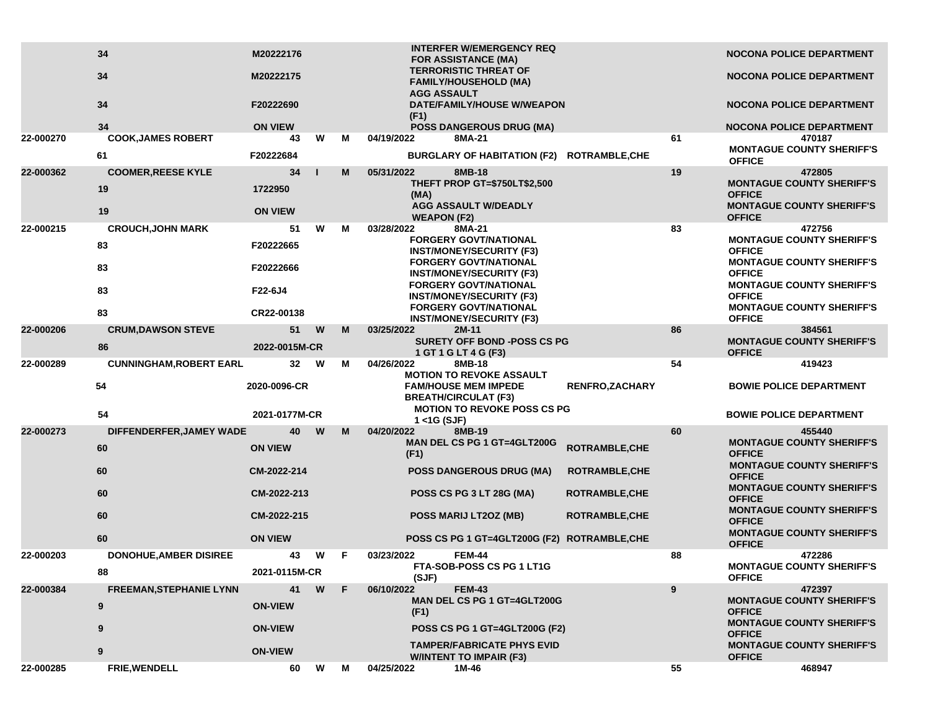|           | 34<br>34                              | M20222176<br>M20222175        |   |     |                            | <b>INTERFER W/EMERGENCY REQ</b><br><b>FOR ASSISTANCE (MA)</b><br><b>TERRORISTIC THREAT OF</b><br>FAMILY/HOUSEHOLD (MA)              |                       |    | <b>NOCONA POLICE DEPARTMENT</b><br>NOCONA POLICE DEPARTMENT                                     |
|-----------|---------------------------------------|-------------------------------|---|-----|----------------------------|-------------------------------------------------------------------------------------------------------------------------------------|-----------------------|----|-------------------------------------------------------------------------------------------------|
|           | 34                                    | F20222690                     |   |     | <b>AGG ASSAULT</b><br>(F1) | DATE/FAMILY/HOUSE W/WEAPON                                                                                                          |                       |    | <b>NOCONA POLICE DEPARTMENT</b>                                                                 |
| 22-000270 | 34<br><b>COOK, JAMES ROBERT</b>       | <b>ON VIEW</b><br>43          | W | м   | 04/19/2022                 | <b>POSS DANGEROUS DRUG (MA)</b><br>8MA-21                                                                                           |                       | 61 | <b>NOCONA POLICE DEPARTMENT</b><br>470187                                                       |
|           | 61                                    | F20222684                     |   |     |                            | BURGLARY OF HABITATION (F2) ROTRAMBLE, CHE                                                                                          |                       |    | <b>MONTAGUE COUNTY SHERIFF'S</b>                                                                |
|           |                                       |                               |   |     |                            |                                                                                                                                     |                       |    | <b>OFFICE</b>                                                                                   |
| 22-000362 | <b>COOMER, REESE KYLE</b><br>19<br>19 | 34<br>1722950                 |   | M   | 05/31/2022<br>(MA)         | 8MB-18<br><b>THEFT PROP GT=\$750LT\$2,500</b><br><b>AGG ASSAULT W/DEADLY</b>                                                        |                       | 19 | 472805<br><b>MONTAGUE COUNTY SHERIFF'S</b><br><b>OFFICE</b><br><b>MONTAGUE COUNTY SHERIFF'S</b> |
|           |                                       | <b>ON VIEW</b>                |   |     | <b>WEAPON (F2)</b>         |                                                                                                                                     |                       |    | <b>OFFICE</b>                                                                                   |
| 22-000215 | <b>CROUCH, JOHN MARK</b><br>83        | 51<br>F20222665               | W | м   | 03/28/2022                 | 8MA-21<br><b>FORGERY GOVT/NATIONAL</b><br><b>INST/MONEY/SECURITY (F3)</b>                                                           |                       | 83 | 472756<br><b>MONTAGUE COUNTY SHERIFF'S</b><br><b>OFFICE</b>                                     |
|           | 83<br>83                              | F20222666<br>F22-6J4          |   |     |                            | <b>FORGERY GOVT/NATIONAL</b><br><b>INST/MONEY/SECURITY (F3)</b><br><b>FORGERY GOVT/NATIONAL</b>                                     |                       |    | <b>MONTAGUE COUNTY SHERIFF'S</b><br><b>OFFICE</b><br><b>MONTAGUE COUNTY SHERIFF'S</b>           |
|           | 83                                    | CR22-00138                    |   |     |                            | <b>INST/MONEY/SECURITY (F3)</b><br><b>FORGERY GOVT/NATIONAL</b><br><b>INST/MONEY/SECURITY (F3)</b>                                  |                       |    | <b>OFFICE</b><br><b>MONTAGUE COUNTY SHERIFF'S</b><br><b>OFFICE</b>                              |
| 22-000206 | <b>CRUM, DAWSON STEVE</b>             | 51                            | W | M   | 03/25/2022                 | $2M-11$                                                                                                                             |                       | 86 | 384561                                                                                          |
|           | 86                                    | 2022-0015M-CR                 |   |     |                            | <b>SURETY OFF BOND -POSS CS PG</b><br>1 GT 1 G LT 4 G (F3)                                                                          |                       |    | <b>MONTAGUE COUNTY SHERIFF'S</b><br><b>OFFICE</b>                                               |
| 22-000289 | <b>CUNNINGHAM, ROBERT EARL</b>        | 32                            | W | м   | 04/26/2022                 | 8MB-18                                                                                                                              |                       | 54 | 419423                                                                                          |
|           | 54<br>54                              | 2020-0096-CR<br>2021-0177M-CR |   |     |                            | <b>MOTION TO REVOKE ASSAULT</b><br><b>FAM/HOUSE MEM IMPEDE</b><br><b>BREATH/CIRCULAT (F3)</b><br><b>MOTION TO REVOKE POSS CS PG</b> | <b>RENFRO,ZACHARY</b> |    | <b>BOWIE POLICE DEPARTMENT</b><br><b>BOWIE POLICE DEPARTMENT</b>                                |
| 22-000273 | DIFFENDERFER, JAMEY WADE              | 40                            | W | M   | 1 <1G (SJF)<br>04/20/2022  | 8MB-19                                                                                                                              |                       | 60 | 455440                                                                                          |
|           | 60                                    | <b>ON VIEW</b>                |   |     | (F1)                       | MAN DEL CS PG 1 GT=4GLT200G                                                                                                         | ROTRAMBLE, CHE        |    | <b>MONTAGUE COUNTY SHERIFF'S</b><br><b>OFFICE</b>                                               |
|           | 60                                    | CM-2022-214                   |   |     |                            | <b>POSS DANGEROUS DRUG (MA)</b>                                                                                                     | <b>ROTRAMBLE, CHE</b> |    | <b>MONTAGUE COUNTY SHERIFF'S</b><br><b>OFFICE</b>                                               |
|           | 60                                    | CM-2022-213                   |   |     |                            | POSS CS PG 3 LT 28G (MA)                                                                                                            | <b>ROTRAMBLE,CHE</b>  |    | <b>MONTAGUE COUNTY SHERIFF'S</b><br><b>OFFICE</b>                                               |
|           | 60                                    | CM-2022-215                   |   |     |                            | POSS MARIJ LT2OZ (MB)                                                                                                               | <b>ROTRAMBLE,CHE</b>  |    | <b>MONTAGUE COUNTY SHERIFF'S</b><br><b>OFFICE</b><br><b>MONTAGUE COUNTY SHERIFF'S</b>           |
|           | 60                                    | <b>ON VIEW</b>                |   |     |                            | POSS CS PG 1 GT=4GLT200G (F2) ROTRAMBLE, CHE                                                                                        |                       |    | <b>OFFICE</b>                                                                                   |
| 22-000203 | <b>DONOHUE, AMBER DISIREE</b>         | 43                            | w | -F. | 03/23/2022                 | <b>FEM-44</b>                                                                                                                       |                       | 88 | 472286                                                                                          |
|           | 88                                    | 2021-0115M-CR                 |   |     | (SJF)                      | FTA-SOB-POSS CS PG 1 LT1G                                                                                                           |                       |    | <b>MONTAGUE COUNTY SHERIFF'S</b><br><b>OFFICE</b>                                               |
| 22-000384 | <b>FREEMAN, STEPHANIE LYNN</b>        | 41                            | W | F.  | 06/10/2022                 | <b>FEM-43</b>                                                                                                                       |                       | 9  | 472397                                                                                          |
|           | 9                                     | <b>ON-VIEW</b>                |   |     | (F1)                       | <b>MAN DEL CS PG 1 GT=4GLT200G</b>                                                                                                  |                       |    | <b>MONTAGUE COUNTY SHERIFF'S</b><br><b>OFFICE</b>                                               |
|           | 9                                     | <b>ON-VIEW</b>                |   |     |                            | POSS CS PG 1 GT=4GLT200G (F2)                                                                                                       |                       |    | <b>MONTAGUE COUNTY SHERIFF'S</b><br><b>OFFICE</b>                                               |
|           | 9                                     | <b>ON-VIEW</b>                |   |     |                            | <b>TAMPER/FABRICATE PHYS EVID</b><br><b>W/INTENT TO IMPAIR (F3)</b>                                                                 |                       |    | <b>MONTAGUE COUNTY SHERIFF'S</b><br><b>OFFICE</b>                                               |
| 22-000285 | <b>FRIE, WENDELL</b>                  | 60                            | W | М   | 04/25/2022                 | 1M-46                                                                                                                               |                       | 55 | 468947                                                                                          |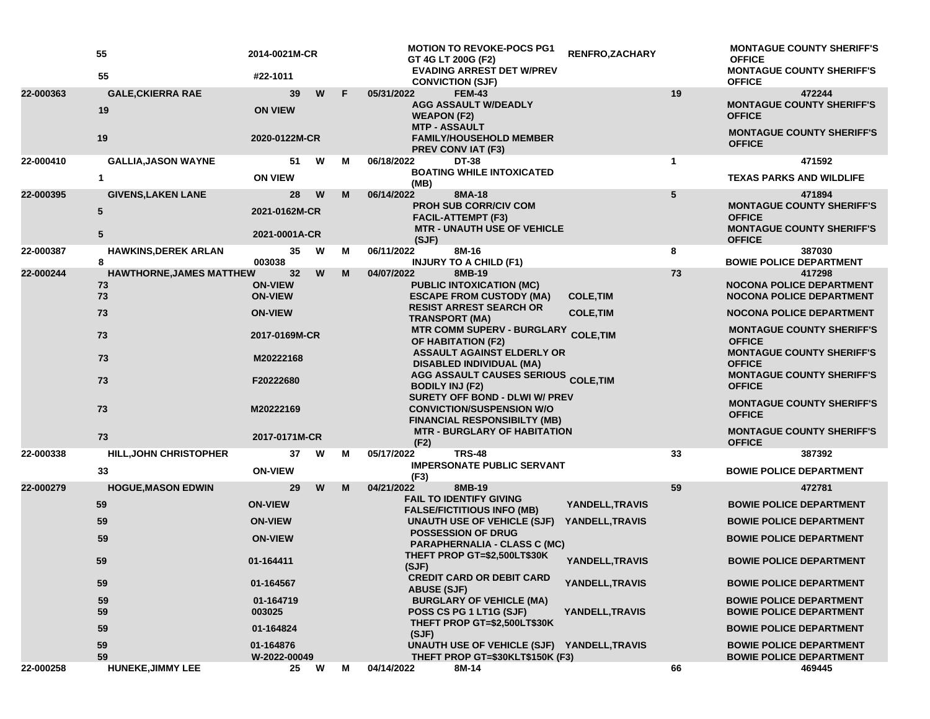|           | 55<br>55                             | 2014-0021M-CR<br>#22-1011        |   |    | <b>MOTION TO REVOKE-POCS PG1</b><br>GT 4G LT 200G (F2)<br><b>EVADING ARREST DET W/PREV</b>                                             | RENFRO, ZACHARY  |              | <b>MONTAGUE COUNTY SHERIFF'S</b><br><b>OFFICE</b><br><b>MONTAGUE COUNTY SHERIFF'S</b> |
|-----------|--------------------------------------|----------------------------------|---|----|----------------------------------------------------------------------------------------------------------------------------------------|------------------|--------------|---------------------------------------------------------------------------------------|
|           |                                      |                                  |   |    | <b>CONVICTION (SJF)</b>                                                                                                                |                  |              | <b>OFFICE</b>                                                                         |
| 22-000363 | <b>GALE, CKIERRA RAE</b><br>19       | 39<br><b>ON VIEW</b>             | W | F. | 05/31/2022<br><b>FEM-43</b><br><b>AGG ASSAULT W/DEADLY</b><br><b>WEAPON (F2)</b>                                                       |                  | 19           | 472244<br><b>MONTAGUE COUNTY SHERIFF'S</b><br><b>OFFICE</b>                           |
|           | 19                                   | 2020-0122M-CR                    |   |    | <b>MTP - ASSAULT</b><br><b>FAMILY/HOUSEHOLD MEMBER</b><br><b>PREV CONVIAT (F3)</b>                                                     |                  |              | <b>MONTAGUE COUNTY SHERIFF'S</b><br><b>OFFICE</b>                                     |
| 22-000410 | <b>GALLIA, JASON WAYNE</b>           | 51                               | W | М  | 06/18/2022<br><b>DT-38</b>                                                                                                             |                  | $\mathbf{1}$ | 471592                                                                                |
|           | 1                                    | <b>ON VIEW</b>                   |   |    | <b>BOATING WHILE INTOXICATED</b><br>(MB)                                                                                               |                  |              | <b>TEXAS PARKS AND WILDLIFE</b>                                                       |
| 22-000395 | <b>GIVENS, LAKEN LANE</b>            | 28                               | W | M  | 06/14/2022<br>8MA-18                                                                                                                   |                  | 5            | 471894                                                                                |
|           | 5                                    | 2021-0162M-CR                    |   |    | <b>PROH SUB CORR/CIV COM</b><br><b>FACIL-ATTEMPT (F3)</b><br><b>MTR - UNAUTH USE OF VEHICLE</b>                                        |                  |              | <b>MONTAGUE COUNTY SHERIFF'S</b><br><b>OFFICE</b><br><b>MONTAGUE COUNTY SHERIFF'S</b> |
|           | 5                                    | 2021-0001A-CR                    |   |    | (SJF)                                                                                                                                  |                  |              | <b>OFFICE</b>                                                                         |
| 22-000387 | <b>HAWKINS, DEREK ARLAN</b>          | 35                               | W | м  | 06/11/2022<br>8M-16                                                                                                                    |                  | 8            | 387030                                                                                |
| 22-000244 | 8<br><b>HAWTHORNE, JAMES MATTHEW</b> | 003038<br>32                     | W | M  | <b>INJURY TO A CHILD (F1)</b><br>04/07/2022<br>8MB-19                                                                                  |                  | 73           | <b>BOWIE POLICE DEPARTMENT</b><br>417298                                              |
|           | 73<br>73                             | <b>ON-VIEW</b><br><b>ON-VIEW</b> |   |    | PUBLIC INTOXICATION (MC)<br><b>ESCAPE FROM CUSTODY (MA)</b>                                                                            | <b>COLE, TIM</b> |              | <b>NOCONA POLICE DEPARTMENT</b><br><b>NOCONA POLICE DEPARTMENT</b>                    |
|           | 73                                   | <b>ON-VIEW</b>                   |   |    | <b>RESIST ARREST SEARCH OR</b><br><b>TRANSPORT (MA)</b>                                                                                | <b>COLE, TIM</b> |              | <b>NOCONA POLICE DEPARTMENT</b>                                                       |
|           | 73                                   | 2017-0169M-CR                    |   |    | <b>MTR COMM SUPERV - BURGLARY</b><br><b>OF HABITATION (F2)</b><br><b>ASSAULT AGAINST ELDERLY OR</b><br><b>DISABLED INDIVIDUAL (MA)</b> | <b>COLE, TIM</b> |              | <b>MONTAGUE COUNTY SHERIFF'S</b><br><b>OFFICE</b>                                     |
|           | 73                                   | M20222168                        |   |    |                                                                                                                                        |                  |              | <b>MONTAGUE COUNTY SHERIFF'S</b><br><b>OFFICE</b>                                     |
|           | 73                                   | F20222680                        |   |    | <b>AGG ASSAULT CAUSES SERIOUS COLE, TIM</b><br><b>BODILY INJ (F2)</b><br>SURETY OFF BOND - DLWI W/ PREV                                |                  |              | <b>MONTAGUE COUNTY SHERIFF'S</b><br><b>OFFICE</b>                                     |
|           | 73                                   | M20222169                        |   |    | <b>CONVICTION/SUSPENSION W/O</b><br><b>FINANCIAL RESPONSIBILTY (MB)</b>                                                                |                  |              | <b>MONTAGUE COUNTY SHERIFF'S</b><br><b>OFFICE</b>                                     |
|           | 73                                   | 2017-0171M-CR                    |   |    | <b>MTR - BURGLARY OF HABITATION</b><br>(F2)                                                                                            |                  |              | <b>MONTAGUE COUNTY SHERIFF'S</b><br><b>OFFICE</b>                                     |
| 22-000338 | HILL, JOHN CHRISTOPHER               | 37                               | W | М  | <b>TRS-48</b><br>05/17/2022                                                                                                            |                  | 33           | 387392                                                                                |
|           | 33                                   | <b>ON-VIEW</b>                   |   |    | <b>IMPERSONATE PUBLIC SERVANT</b><br>(F3)                                                                                              |                  |              | <b>BOWIE POLICE DEPARTMENT</b>                                                        |
| 22-000279 | <b>HOGUE, MASON EDWIN</b>            | 29                               | W | M  | 04/21/2022<br>8MB-19                                                                                                                   |                  | 59           | 472781                                                                                |
|           | 59                                   | <b>ON-VIEW</b>                   |   |    | <b>FAIL TO IDENTIFY GIVING</b><br><b>FALSE/FICTITIOUS INFO (MB)</b>                                                                    | YANDELL, TRAVIS  |              | <b>BOWIE POLICE DEPARTMENT</b>                                                        |
|           | 59                                   | <b>ON-VIEW</b>                   |   |    | UNAUTH USE OF VEHICLE (SJF)                                                                                                            | YANDELL, TRAVIS  |              | <b>BOWIE POLICE DEPARTMENT</b>                                                        |
|           | 59                                   | <b>ON-VIEW</b>                   |   |    | <b>POSSESSION OF DRUG</b><br><b>PARAPHERNALIA - CLASS C (MC)</b><br>THEFT PROP GT=\$2,500LT\$30K                                       |                  |              | <b>BOWIE POLICE DEPARTMENT</b>                                                        |
|           | 59                                   | 01-164411                        |   |    | (SJF)<br><b>CREDIT CARD OR DEBIT CARD</b>                                                                                              | YANDELL, TRAVIS  |              | <b>BOWIE POLICE DEPARTMENT</b>                                                        |
|           | 59                                   | 01-164567                        |   |    | <b>ABUSE (SJF)</b>                                                                                                                     | YANDELL, TRAVIS  |              | <b>BOWIE POLICE DEPARTMENT</b>                                                        |
|           | 59<br>59                             | 01-164719<br>003025              |   |    | <b>BURGLARY OF VEHICLE (MA)</b><br>POSS CS PG 1 LT1G (SJF)                                                                             | YANDELL, TRAVIS  |              | <b>BOWIE POLICE DEPARTMENT</b><br><b>BOWIE POLICE DEPARTMENT</b>                      |
|           | 59                                   | 01-164824                        |   |    | THEFT PROP GT=\$2,500LT\$30K<br>(SJF)                                                                                                  |                  |              | <b>BOWIE POLICE DEPARTMENT</b>                                                        |
|           | 59<br>59                             | 01-164876<br>W-2022-00049        |   |    | UNAUTH USE OF VEHICLE (SJF) YANDELL, TRAVIS<br>THEFT PROP GT=\$30KLT\$150K (F3)                                                        |                  |              | <b>BOWIE POLICE DEPARTMENT</b><br><b>BOWIE POLICE DEPARTMENT</b>                      |
| 22-000258 | <b>HUNEKE, JIMMY LEE</b>             | 25                               | W | M  | 04/14/2022<br>8M-14                                                                                                                    |                  | 66           | 469445                                                                                |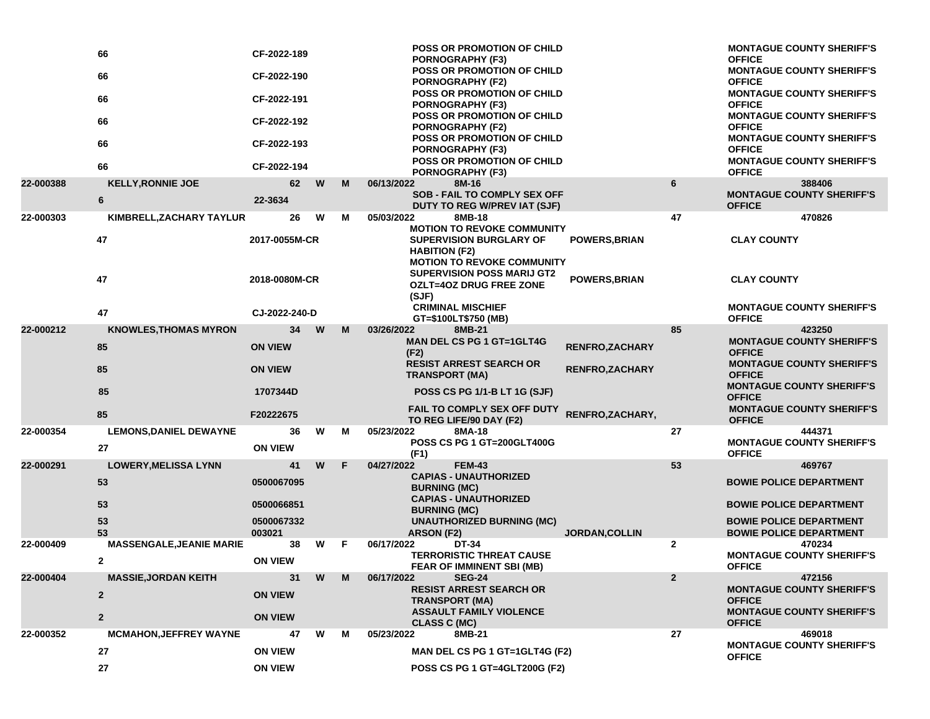|           | 66                              | CF-2022-189          |   |   | POSS OR PROMOTION OF CHILD<br><b>PORNOGRAPHY (F3)</b>                                                             |                        |                | <b>MONTAGUE COUNTY SHERIFF'S</b><br><b>OFFICE</b>                |
|-----------|---------------------------------|----------------------|---|---|-------------------------------------------------------------------------------------------------------------------|------------------------|----------------|------------------------------------------------------------------|
|           | 66                              | CF-2022-190          |   |   | <b>POSS OR PROMOTION OF CHILD</b><br><b>PORNOGRAPHY (F2)</b>                                                      |                        |                | <b>MONTAGUE COUNTY SHERIFF'S</b><br><b>OFFICE</b>                |
|           | 66                              | CF-2022-191          |   |   | POSS OR PROMOTION OF CHILD<br>PORNOGRAPHY (F3)                                                                    |                        |                | <b>MONTAGUE COUNTY SHERIFF'S</b><br><b>OFFICE</b>                |
|           | 66                              | CF-2022-192          |   |   | POSS OR PROMOTION OF CHILD<br><b>PORNOGRAPHY (F2)</b>                                                             |                        |                | <b>MONTAGUE COUNTY SHERIFF'S</b><br><b>OFFICE</b>                |
|           | 66                              | CF-2022-193          |   |   | POSS OR PROMOTION OF CHILD<br>PORNOGRAPHY (F3)                                                                    |                        |                | <b>MONTAGUE COUNTY SHERIFF'S</b><br><b>OFFICE</b>                |
|           | 66                              | CF-2022-194          |   |   | POSS OR PROMOTION OF CHILD<br><b>PORNOGRAPHY (F3)</b>                                                             |                        |                | <b>MONTAGUE COUNTY SHERIFF'S</b><br><b>OFFICE</b>                |
| 22-000388 | <b>KELLY, RONNIE JOE</b>        | 62                   | W | M | 8M-16<br>06/13/2022<br>SOB - FAIL TO COMPLY SEX OFF                                                               |                        | 6              | 388406<br><b>MONTAGUE COUNTY SHERIFF'S</b>                       |
|           | 6                               | 22-3634              |   |   | DUTY TO REG W/PREV IAT (SJF)                                                                                      |                        |                | <b>OFFICE</b>                                                    |
| 22-000303 | KIMBRELL, ZACHARY TAYLUR        | 26                   | W | м | 05/03/2022<br>8MB-18<br><b>MOTION TO REVOKE COMMUNITY</b>                                                         |                        | 47             | 470826                                                           |
|           | 47                              | 2017-0055M-CR        |   |   | <b>SUPERVISION BURGLARY OF</b><br><b>HABITION (F2)</b>                                                            | <b>POWERS, BRIAN</b>   |                | <b>CLAY COUNTY</b>                                               |
|           | 47                              | 2018-0080M-CR        |   |   | <b>MOTION TO REVOKE COMMUNITY</b><br><b>SUPERVISION POSS MARIJ GT2</b><br><b>OZLT=4OZ DRUG FREE ZONE</b><br>(SJF) | <b>POWERS, BRIAN</b>   |                | <b>CLAY COUNTY</b>                                               |
|           | 47                              | CJ-2022-240-D        |   |   | <b>CRIMINAL MISCHIEF</b><br>GT=\$100LT\$750 (MB)                                                                  |                        |                | <b>MONTAGUE COUNTY SHERIFF'S</b><br><b>OFFICE</b>                |
| 22-000212 | <b>KNOWLES, THOMAS MYRON</b>    | 34                   | W | M | 03/26/2022<br>8MB-21                                                                                              |                        | 85             | 423250                                                           |
|           | 85                              | <b>ON VIEW</b>       |   |   | <b>MAN DEL CS PG 1 GT=1GLT4G</b><br>(F2)                                                                          | <b>RENFRO, ZACHARY</b> |                | <b>MONTAGUE COUNTY SHERIFF'S</b><br><b>OFFICE</b>                |
|           | 85                              | <b>ON VIEW</b>       |   |   | <b>RESIST ARREST SEARCH OR</b><br><b>TRANSPORT (MA)</b>                                                           | <b>RENFRO, ZACHARY</b> |                | <b>MONTAGUE COUNTY SHERIFF'S</b><br><b>OFFICE</b>                |
|           | 85                              | 1707344D             |   |   | <b>POSS CS PG 1/1-B LT 1G (SJF)</b>                                                                               |                        |                | <b>MONTAGUE COUNTY SHERIFF'S</b><br><b>OFFICE</b>                |
|           | 85                              | F20222675            |   |   | <b>FAIL TO COMPLY SEX OFF DUTY</b><br>TO REG LIFE/90 DAY (F2)                                                     | RENFRO, ZACHARY,       |                | <b>MONTAGUE COUNTY SHERIFF'S</b><br><b>OFFICE</b>                |
| 22-000354 | <b>LEMONS, DANIEL DEWAYNE</b>   | 36                   | W | M | 05/23/2022<br>8MA-18<br>POSS CS PG 1 GT=200GLT400G                                                                |                        | 27             | 444371<br><b>MONTAGUE COUNTY SHERIFF'S</b>                       |
|           | 27                              | <b>ON VIEW</b>       |   |   | (F1)                                                                                                              |                        |                | <b>OFFICE</b>                                                    |
| 22-000291 | <b>LOWERY, MELISSA LYNN</b>     | 41                   | W | F | 04/27/2022<br><b>FEM-43</b><br><b>CAPIAS - UNAUTHORIZED</b>                                                       |                        | 53             | 469767                                                           |
|           | 53                              | 0500067095           |   |   | <b>BURNING (MC)</b>                                                                                               |                        |                | <b>BOWIE POLICE DEPARTMENT</b>                                   |
|           | 53                              | 0500066851           |   |   | <b>CAPIAS - UNAUTHORIZED</b><br><b>BURNING (MC)</b>                                                               |                        |                | <b>BOWIE POLICE DEPARTMENT</b>                                   |
|           | 53<br>53                        | 0500067332<br>003021 |   |   | <b>UNAUTHORIZED BURNING (MC)</b><br>ARSON (F2)                                                                    | <b>JORDAN, COLLIN</b>  |                | <b>BOWIE POLICE DEPARTMENT</b><br><b>BOWIE POLICE DEPARTMENT</b> |
| 22-000409 | <b>MASSENGALE, JEANIE MARIE</b> | 38                   | W | F | 06/17/2022<br>DT-34                                                                                               |                        | $\overline{2}$ | 470234                                                           |
|           | 2                               | <b>ON VIEW</b>       |   |   | <b>TERRORISTIC THREAT CAUSE</b><br>FEAR OF IMMINENT SBI (MB)                                                      |                        |                | <b>MONTAGUE COUNTY SHERIFF'S</b><br><b>OFFICE</b>                |
| 22-000404 | <b>MASSIE, JORDAN KEITH</b>     | 31                   | W | M | 06/17/2022<br><b>SEG-24</b>                                                                                       |                        | $\overline{2}$ | 472156                                                           |
|           | $\mathbf{2}$                    | <b>ON VIEW</b>       |   |   | <b>RESIST ARREST SEARCH OR</b><br><b>TRANSPORT (MA)</b>                                                           |                        |                | <b>MONTAGUE COUNTY SHERIFF'S</b><br><b>OFFICE</b>                |
|           | $\mathbf{2}$                    | <b>ON VIEW</b>       |   |   | <b>ASSAULT FAMILY VIOLENCE</b><br><b>CLASS C (MC)</b>                                                             |                        |                | <b>MONTAGUE COUNTY SHERIFF'S</b><br><b>OFFICE</b>                |
| 22-000352 | <b>MCMAHON, JEFFREY WAYNE</b>   | 47                   | W | М | 8MB-21<br>05/23/2022                                                                                              |                        | 27             | 469018                                                           |
|           | 27                              | <b>ON VIEW</b>       |   |   | MAN DEL CS PG 1 GT=1GLT4G (F2)                                                                                    |                        |                | <b>MONTAGUE COUNTY SHERIFF'S</b><br><b>OFFICE</b>                |
|           | 27                              | <b>ON VIEW</b>       |   |   | POSS CS PG 1 GT=4GLT200G (F2)                                                                                     |                        |                |                                                                  |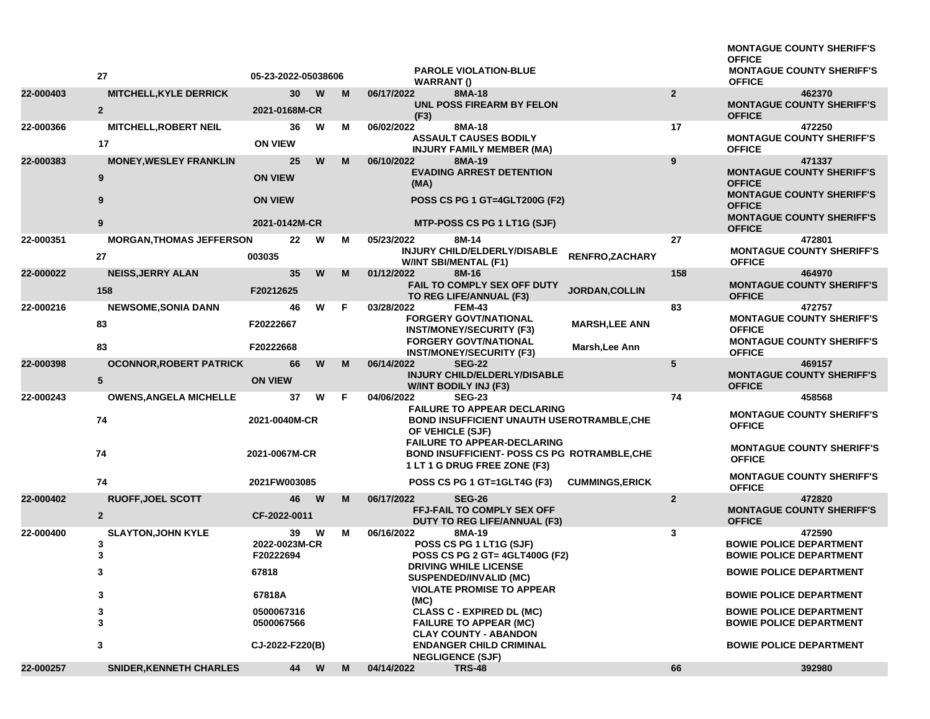|           |                                                   |                                             |                 |          |   |                                                                                                                           |                        |                | <b>MONTAGUE COUNTY SHERIFF'S</b><br><b>OFFICE</b>                                               |
|-----------|---------------------------------------------------|---------------------------------------------|-----------------|----------|---|---------------------------------------------------------------------------------------------------------------------------|------------------------|----------------|-------------------------------------------------------------------------------------------------|
|           | 27                                                | 05-23-2022-05038606                         |                 |          |   | <b>PAROLE VIOLATION-BLUE</b><br><b>WARRANT()</b>                                                                          |                        |                | <b>MONTAGUE COUNTY SHERIFF'S</b><br><b>OFFICE</b>                                               |
| 22-000403 | MITCHELL, KYLE DERRICK<br>$\overline{2}$          | 2021-0168M-CR                               | 30 <sup>°</sup> | <b>W</b> | M | 06/17/2022<br>8MA-18<br>UNL POSS FIREARM BY FELON<br>(F3)                                                                 |                        | $\overline{2}$ | 462370<br><b>MONTAGUE COUNTY SHERIFF'S</b><br><b>OFFICE</b>                                     |
| 22-000366 | <b>MITCHELL, ROBERT NEIL</b><br>17                | <b>ON VIEW</b>                              | 36              | W        | м | 06/02/2022<br>8MA-18<br><b>ASSAULT CAUSES BODILY</b><br><b>INJURY FAMILY MEMBER (MA)</b>                                  |                        | 17             | 472250<br><b>MONTAGUE COUNTY SHERIFF'S</b><br><b>OFFICE</b>                                     |
| 22-000383 | <b>MONEY, WESLEY FRANKLIN</b><br>9                | <b>ON VIEW</b>                              | 25              | W        | м | 06/10/2022<br>8MA-19<br><b>EVADING ARREST DETENTION</b><br>(MA)                                                           |                        | 9              | 471337<br><b>MONTAGUE COUNTY SHERIFF'S</b><br><b>OFFICE</b><br><b>MONTAGUE COUNTY SHERIFF'S</b> |
|           | 9<br>9                                            | <b>ON VIEW</b><br>2021-0142M-CR             |                 |          |   | POSS CS PG 1 GT=4GLT200G (F2)<br>MTP-POSS CS PG 1 LT1G (SJF)                                                              |                        |                | <b>OFFICE</b><br><b>MONTAGUE COUNTY SHERIFF'S</b><br><b>OFFICE</b>                              |
| 22-000351 | <b>MORGAN, THOMAS JEFFERSON</b><br>27             | 003035                                      | 22              | W        | м | 05/23/2022<br>8M-14<br>INJURY CHILD/ELDERLY/DISABLE<br><b>W/INT SBI/MENTAL (F1)</b>                                       | RENFRO, ZACHARY        | 27             | 472801<br><b>MONTAGUE COUNTY SHERIFF'S</b><br><b>OFFICE</b>                                     |
| 22-000022 | <b>NEISS, JERRY ALAN</b><br>158                   | F20212625                                   | 35              | W        | M | 01/12/2022<br>8M-16<br>FAIL TO COMPLY SEX OFF DUTY<br>TO REG LIFE/ANNUAL (F3)                                             | JORDAN, COLLIN         | 158            | 464970<br><b>MONTAGUE COUNTY SHERIFF'S</b><br><b>OFFICE</b>                                     |
| 22-000216 | <b>NEWSOME, SONIA DANN</b><br>83                  | F20222667                                   | 46              | W        | F | 03/28/2022<br><b>FEM-43</b><br><b>FORGERY GOVT/NATIONAL</b><br><b>INST/MONEY/SECURITY (F3)</b>                            | <b>MARSH, LEE ANN</b>  | 83             | 472757<br><b>MONTAGUE COUNTY SHERIFF'S</b><br><b>OFFICE</b>                                     |
|           | 83                                                | F20222668                                   |                 |          |   | <b>FORGERY GOVT/NATIONAL</b><br><b>INST/MONEY/SECURITY (F3)</b>                                                           | Marsh,Lee Ann          |                | <b>MONTAGUE COUNTY SHERIFF'S</b><br><b>OFFICE</b>                                               |
| 22-000398 | <b>OCONNOR, ROBERT PATRICK</b><br>$5\phantom{.0}$ | <b>ON VIEW</b>                              | 66              | W        | м | 06/14/2022<br><b>SEG-22</b><br>INJURY CHILD/ELDERLY/DISABLE<br><b>W/INT BODILY INJ (F3)</b>                               |                        | 5              | 469157<br><b>MONTAGUE COUNTY SHERIFF'S</b><br><b>OFFICE</b>                                     |
| 22-000243 | <b>OWENS, ANGELA MICHELLE</b>                     |                                             | 37              | W        | F | 04/06/2022<br><b>SEG-23</b><br><b>FAILURE TO APPEAR DECLARING</b>                                                         |                        | 74             | 458568                                                                                          |
|           | 74                                                | 2021-0040M-CR                               |                 |          |   | <b>BOND INSUFFICIENT UNAUTH USEROTRAMBLE, CHE</b><br>OF VEHICLE (SJF)                                                     |                        |                | <b>MONTAGUE COUNTY SHERIFF'S</b><br><b>OFFICE</b>                                               |
|           | 74                                                | 2021-0067M-CR                               |                 |          |   | <b>FAILURE TO APPEAR-DECLARING</b><br><b>BOND INSUFFICIENT- POSS CS PG ROTRAMBLE, CHE</b><br>1 LT 1 G DRUG FREE ZONE (F3) |                        |                | <b>MONTAGUE COUNTY SHERIFF'S</b><br><b>OFFICE</b>                                               |
|           | 74                                                | 2021FW003085                                |                 |          |   | POSS CS PG 1 GT=1GLT4G (F3)                                                                                               | <b>CUMMINGS, ERICK</b> |                | <b>MONTAGUE COUNTY SHERIFF'S</b><br><b>OFFICE</b>                                               |
| 22-000402 | <b>RUOFF, JOEL SCOTT</b><br>$\overline{2}$        | CF-2022-0011                                | 46 W            |          | М | 06/17/2022<br><b>SEG-26</b><br>FFJ-FAIL TO COMPLY SEX OFF<br><b>DUTY TO REG LIFE/ANNUAL (F3)</b>                          |                        | $\overline{2}$ | 472820<br><b>MONTAGUE COUNTY SHERIFF'S</b><br><b>OFFICE</b>                                     |
| 22-000400 | <b>SLAYTON, JOHN KYLE</b><br>3<br>3               | 2022-0023M-CR<br>F20222694                  | 39              | W        | м | 06/16/2022<br>8MA-19<br>POSS CS PG 1 LT1G (SJF)<br>POSS CS PG 2 GT= 4GLT400G (F2)                                         |                        | 3              | 472590<br><b>BOWIE POLICE DEPARTMENT</b><br><b>BOWIE POLICE DEPARTMENT</b>                      |
|           | 3                                                 | 67818<br>67818A<br>0500067316<br>0500067566 |                 |          |   | <b>DRIVING WHILE LICENSE</b><br><b>SUSPENDED/INVALID (MC)</b>                                                             |                        |                | <b>BOWIE POLICE DEPARTMENT</b>                                                                  |
|           | 3                                                 |                                             |                 |          |   | <b>VIOLATE PROMISE TO APPEAR</b><br>(MC)                                                                                  |                        |                | <b>BOWIE POLICE DEPARTMENT</b>                                                                  |
|           | 3<br>3                                            |                                             |                 |          |   | <b>CLASS C - EXPIRED DL (MC)</b><br><b>FAILURE TO APPEAR (MC)</b><br><b>CLAY COUNTY - ABANDON</b>                         |                        |                | <b>BOWIE POLICE DEPARTMENT</b><br><b>BOWIE POLICE DEPARTMENT</b>                                |
|           | 3                                                 | CJ-2022-F220(B)                             |                 |          |   | <b>ENDANGER CHILD CRIMINAL</b><br><b>NEGLIGENCE (SJF)</b>                                                                 |                        |                | <b>BOWIE POLICE DEPARTMENT</b>                                                                  |
| 22-000257 | <b>SNIDER, KENNETH CHARLES</b>                    |                                             | 44 W            |          | M | <b>TRS-48</b><br>04/14/2022                                                                                               |                        | 66             | 392980                                                                                          |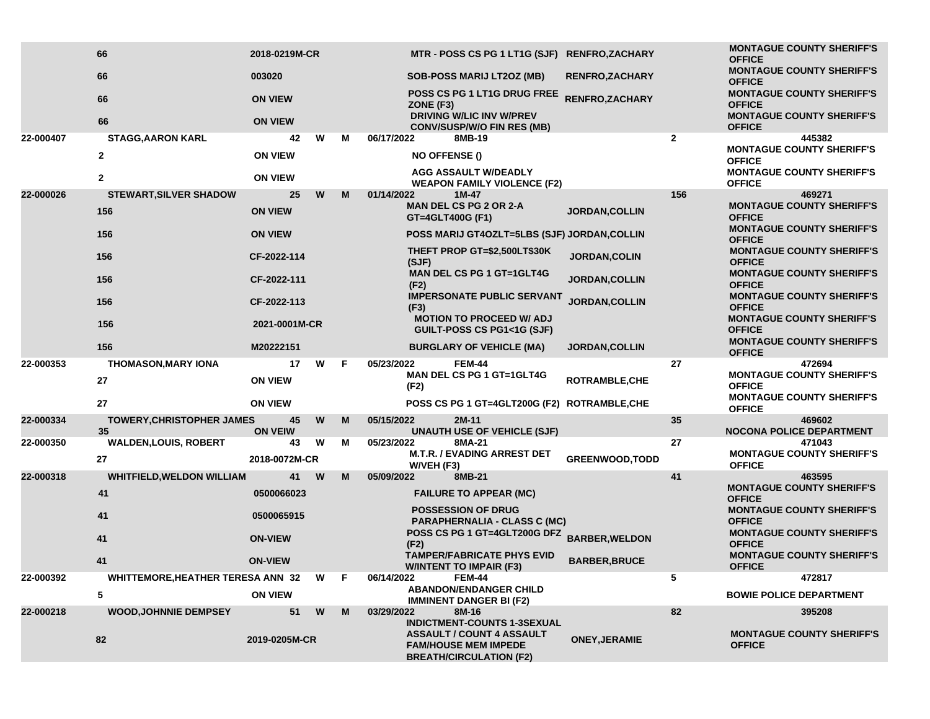|           | 66                                     | 2018-0219M-CR        |   |    | MTR - POSS CS PG 1 LT1G (SJF) RENFRO,ZACHARY                                                                                            |                        |                | <b>MONTAGUE COUNTY SHERIFF'S</b><br><b>OFFICE</b> |
|-----------|----------------------------------------|----------------------|---|----|-----------------------------------------------------------------------------------------------------------------------------------------|------------------------|----------------|---------------------------------------------------|
|           | 66                                     | 003020               |   |    | <b>SOB-POSS MARIJ LT2OZ (MB)</b>                                                                                                        | <b>RENFRO, ZACHARY</b> |                | <b>MONTAGUE COUNTY SHERIFF'S</b><br><b>OFFICE</b> |
|           | 66                                     | <b>ON VIEW</b>       |   |    | POSS CS PG 1 LT1G DRUG FREE<br>ZONE (F3)                                                                                                | RENFRO, ZACHARY        |                | <b>MONTAGUE COUNTY SHERIFF'S</b><br><b>OFFICE</b> |
|           | 66                                     | <b>ON VIEW</b>       |   |    | <b>DRIVING W/LIC INV W/PREV</b><br><b>CONV/SUSP/W/O FIN RES (MB)</b>                                                                    |                        |                | <b>MONTAGUE COUNTY SHERIFF'S</b><br><b>OFFICE</b> |
| 22-000407 | <b>STAGG, AARON KARL</b>               | 42                   | W | м  | 06/17/2022<br>8MB-19                                                                                                                    |                        | $\overline{2}$ | 445382                                            |
|           | $\mathbf{2}$                           | <b>ON VIEW</b>       |   |    | <b>NO OFFENSE ()</b>                                                                                                                    |                        |                | <b>MONTAGUE COUNTY SHERIFF'S</b><br><b>OFFICE</b> |
|           | $\mathbf{2}$                           | <b>ON VIEW</b>       |   |    | <b>AGG ASSAULT W/DEADLY</b><br><b>WEAPON FAMILY VIOLENCE (F2)</b>                                                                       |                        |                | <b>MONTAGUE COUNTY SHERIFF'S</b><br><b>OFFICE</b> |
| 22-000026 | <b>STEWART, SILVER SHADOW</b>          | 25                   | W | M  | 01/14/2022<br>$1M-47$                                                                                                                   |                        | 156            | 469271                                            |
|           | 156                                    | <b>ON VIEW</b>       |   |    | <b>MAN DEL CS PG 2 OR 2-A</b><br>GT=4GLT400G (F1)                                                                                       | <b>JORDAN, COLLIN</b>  |                | <b>MONTAGUE COUNTY SHERIFF'S</b><br><b>OFFICE</b> |
|           | 156                                    | <b>ON VIEW</b>       |   |    | POSS MARIJ GT4OZLT=5LBS (SJF) JORDAN, COLLIN                                                                                            |                        |                | <b>MONTAGUE COUNTY SHERIFF'S</b><br><b>OFFICE</b> |
|           | 156                                    | CF-2022-114          |   |    | THEFT PROP GT=\$2,500LT\$30K<br>(SJF)                                                                                                   | JORDAN, COLIN          |                | <b>MONTAGUE COUNTY SHERIFF'S</b><br><b>OFFICE</b> |
|           | 156                                    | CF-2022-111          |   |    | <b>MAN DEL CS PG 1 GT=1GLT4G</b><br>(F2)                                                                                                | <b>JORDAN, COLLIN</b>  |                | <b>MONTAGUE COUNTY SHERIFF'S</b><br><b>OFFICE</b> |
|           | 156                                    | CF-2022-113          |   |    | <b>IMPERSONATE PUBLIC SERVANT</b><br>(F3)                                                                                               | <b>JORDAN, COLLIN</b>  |                | <b>MONTAGUE COUNTY SHERIFF'S</b><br><b>OFFICE</b> |
|           | 156                                    | 2021-0001M-CR        |   |    | <b>MOTION TO PROCEED W/ ADJ</b><br><b>GUILT-POSS CS PG1&lt;1G (SJF)</b>                                                                 |                        |                | <b>MONTAGUE COUNTY SHERIFF'S</b><br><b>OFFICE</b> |
|           | 156                                    | M20222151            |   |    | <b>BURGLARY OF VEHICLE (MA)</b>                                                                                                         | <b>JORDAN, COLLIN</b>  |                | <b>MONTAGUE COUNTY SHERIFF'S</b><br><b>OFFICE</b> |
| 22-000353 | <b>THOMASON, MARY IONA</b>             | 17                   | W | F  | <b>FEM-44</b><br>05/23/2022                                                                                                             |                        | 27             | 472694                                            |
|           | 27                                     | <b>ON VIEW</b>       |   |    | MAN DEL CS PG 1 GT=1GLT4G<br>(F2)                                                                                                       | <b>ROTRAMBLE, CHE</b>  |                | <b>MONTAGUE COUNTY SHERIFF'S</b><br><b>OFFICE</b> |
|           | 27                                     | <b>ON VIEW</b>       |   |    | POSS CS PG 1 GT=4GLT200G (F2) ROTRAMBLE, CHE                                                                                            |                        |                | <b>MONTAGUE COUNTY SHERIFF'S</b><br><b>OFFICE</b> |
| 22-000334 | <b>TOWERY, CHRISTOPHER JAMES</b><br>35 | 45<br><b>ON VEIW</b> | W | M  | 05/15/2022<br>2M-11<br><b>UNAUTH USE OF VEHICLE (SJF)</b>                                                                               |                        | 35             | 469602<br><b>NOCONA POLICE DEPARTMENT</b>         |
| 22-000350 | <b>WALDEN,LOUIS, ROBERT</b>            | 43                   | W | M  | 05/23/2022<br>8MA-21                                                                                                                    |                        | 27             | 471043                                            |
|           | 27                                     | 2018-0072M-CR        |   |    | <b>M.T.R. / EVADING ARREST DET</b><br>W/VEH (F3)                                                                                        | <b>GREENWOOD, TODD</b> |                | <b>MONTAGUE COUNTY SHERIFF'S</b><br><b>OFFICE</b> |
| 22-000318 | <b>WHITFIELD, WELDON WILLIAM</b>       | 41                   | W | M  | 05/09/2022<br>8MB-21                                                                                                                    |                        | 41             | 463595                                            |
|           | 41                                     | 0500066023           |   |    | <b>FAILURE TO APPEAR (MC)</b>                                                                                                           |                        |                | <b>MONTAGUE COUNTY SHERIFF'S</b><br><b>OFFICE</b> |
|           | 41                                     | 0500065915           |   |    | <b>POSSESSION OF DRUG</b><br><b>PARAPHERNALIA - CLASS C (MC)</b>                                                                        |                        |                | <b>MONTAGUE COUNTY SHERIFF'S</b><br><b>OFFICE</b> |
|           | 41                                     | <b>ON-VIEW</b>       |   |    | POSS CS PG 1 GT=4GLT200G DFZ<br>(F2)                                                                                                    | <b>BARBER, WELDON</b>  |                | <b>MONTAGUE COUNTY SHERIFF'S</b><br><b>OFFICE</b> |
|           | 41                                     | <b>ON-VIEW</b>       |   |    | <b>TAMPER/FABRICATE PHYS EVID</b><br><b>W/INTENT TO IMPAIR (F3)</b>                                                                     | <b>BARBER, BRUCE</b>   |                | <b>MONTAGUE COUNTY SHERIFF'S</b><br><b>OFFICE</b> |
| 22-000392 | WHITTEMORE, HEATHER TERESA ANN 32 W    |                      |   | F. | 06/14/2022<br>FEM-44                                                                                                                    |                        | 5              | 472817                                            |
|           | 5                                      | <b>ON VIEW</b>       |   |    | <b>ABANDON/ENDANGER CHILD</b><br><b>IMMINENT DANGER BI (F2)</b>                                                                         |                        |                | <b>BOWIE POLICE DEPARTMENT</b>                    |
| 22-000218 | <b>WOOD, JOHNNIE DEMPSEY</b>           | 51                   | W | M  | 03/29/2022<br>8M-16                                                                                                                     |                        | 82             | 395208                                            |
|           | 82                                     | 2019-0205M-CR        |   |    | <b>INDICTMENT-COUNTS 1-3SEXUAL</b><br><b>ASSAULT / COUNT 4 ASSAULT</b><br><b>FAM/HOUSE MEM IMPEDE</b><br><b>BREATH/CIRCULATION (F2)</b> | <b>ONEY, JERAMIE</b>   |                | <b>MONTAGUE COUNTY SHERIFF'S</b><br><b>OFFICE</b> |